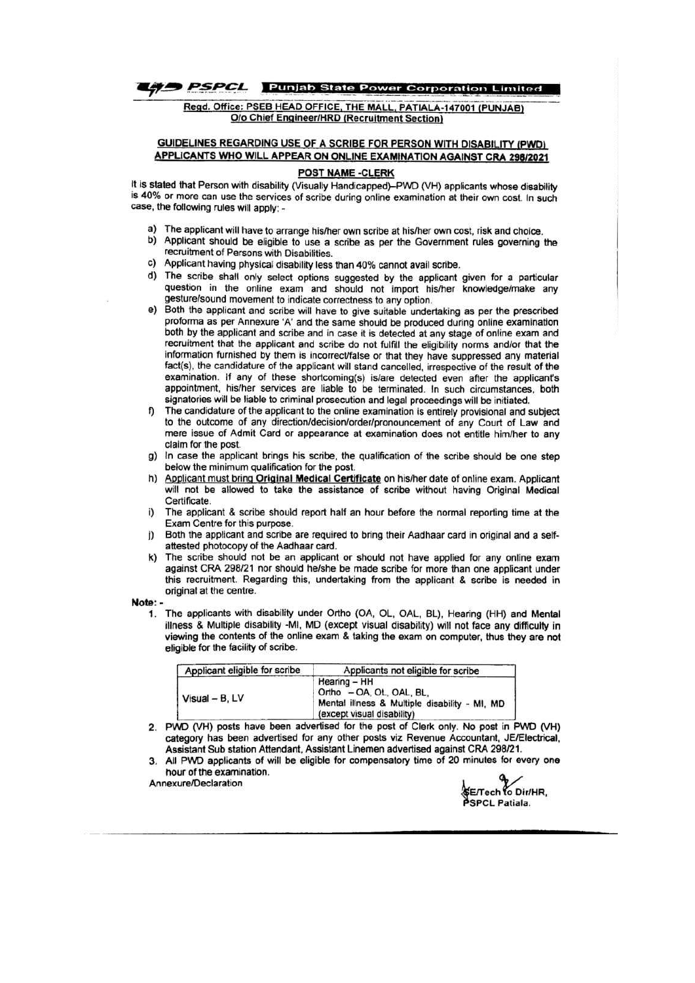

Regd. Office: PSEB HEAD OFFICE, THE MALL, PATIALA-147001 (PUNJAB) **O/o Chief Engineer/HRD (Recruitment Section)** 

#### **GUIDELINES REGARDING USE OF A SCRIBE FOR PERSON WITH DISABILITY (PWD)** APPLICANTS WHO WILL APPEAR ON ONLINE EXAMINATION AGAINST CRA 298/2021

#### POST NAME -CLERK

It is stated that Person with disability (Visually Handicapped)-PWD (VH) applicants whose disability is 40% or more can use the services of scribe during online examination at their own cost. In such case, the following rules will apply: -

- a) The applicant will have to arrange his/her own scribe at his/her own cost, risk and choice.
- b) Applicant should be eligible to use a scribe as per the Government rules governing the recruitment of Persons with Disabilities.
- c) Applicant having physical disability less than 40% cannot avail scribe.
- d) The scribe shall only select options suggested by the applicant given for a particular question in the online exam and should not import his/her knowledge/make any gesture/sound movement to indicate correctness to any option.
- Both the applicant and scribe will have to give suitable undertaking as per the prescribed e) proforma as per Annexure 'A' and the same should be produced during online examination both by the applicant and scribe and in case it is detected at any stage of online exam and recruitment that the applicant and scribe do not fulfill the eligibility norms and/or that the information furnished by them is incorrect/false or that they have suppressed any material fact(s), the candidature of the applicant will stand cancelled, irrespective of the result of the examination. If any of these shortcoming(s) is/are detected even after the applicant's appointment, his/her services are liable to be terminated. In such circumstances, both signatories will be liable to criminal prosecution and legal proceedings will be initiated.
- The candidature of the applicant to the online examination is entirely provisional and subject f) to the outcome of any direction/decision/order/pronouncement of any Court of Law and mere issue of Admit Card or appearance at examination does not entitle him/her to any claim for the post.
- In case the applicant brings his scribe, the qualification of the scribe should be one step g) below the minimum qualification for the post.
- Applicant must bring Original Medical Certificate on his/her date of online exam. Applicant will not be allowed to take the assistance of scribe without having Original Medical Certificate.
- The applicant & scribe should report half an hour before the normal reporting time at the i) Exam Centre for this purpose.
- Both the applicant and scribe are required to bring their Aadhaar card in original and a selfj) attested photocopy of the Aadhaar card.
- The scribe should not be an applicant or should not have applied for any online exam against CRA 298/21 nor should he/she be made scribe for more than one applicant under this recruitment. Regarding this, undertaking from the applicant & scribe is needed in original at the centre.

Note: -

The applicants with disability under Ortho (OA, OL, OAL, BL), Hearing (HH) and Mental  $\mathbf{1}$ illness & Multiple disability -MI, MD (except visual disability) will not face any difficulty in viewing the contents of the online exam & taking the exam on computer, thus they are not eligible for the facility of scribe.

| Applicant eligible for scribe | Applicants not eligible for scribe                                                                                      |  |  |
|-------------------------------|-------------------------------------------------------------------------------------------------------------------------|--|--|
| Visual - B. LV                | Hearing - HH<br>Ortho - OA, OL, OAL, BL,<br>Mental illness & Multiple disability - MI, MD<br>(except visual disability) |  |  |

- 2. PWD (VH) posts have been advertised for the post of Clerk only. No post in PWD (VH) category has been advertised for any other posts viz Revenue Accountant, JE/Electrical, Assistant Sub station Attendant, Assistant Linemen advertised against CRA 298/21.
- All PWD applicants of will be eligible for compensatory time of 20 minutes for every one 3. hour of the examination.

Annexure/Declaration

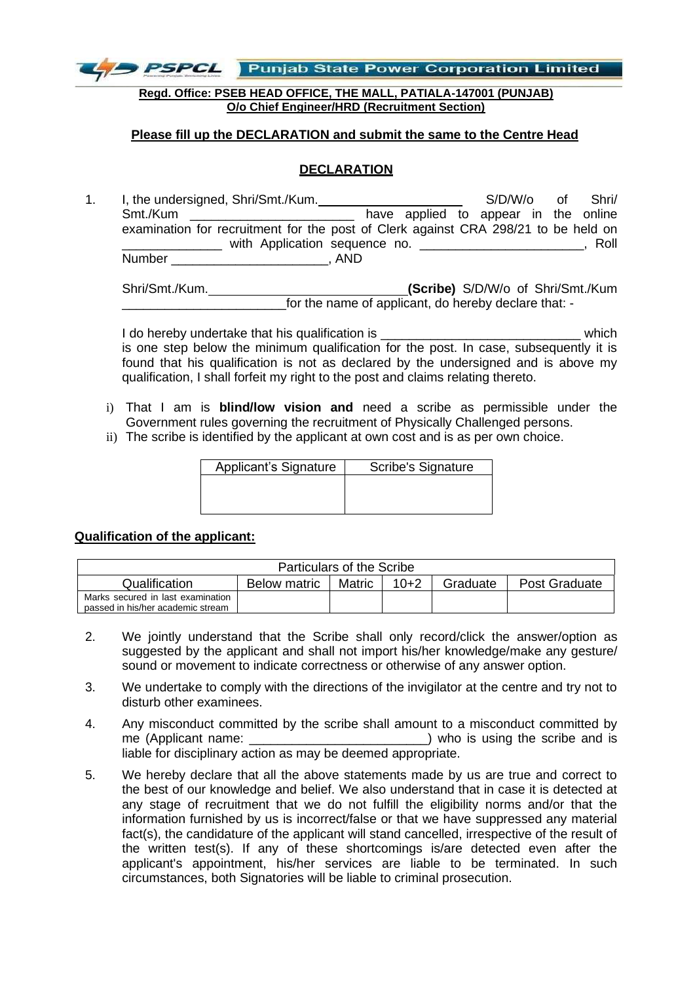

**Regd. Office: PSEB HEAD OFFICE, THE MALL, PATIALA-147001 (PUNJAB) O/o Chief Engineer/HRD (Recruitment Section)**

### **Please fill up the DECLARATION and submit the same to the Centre Head**

# **DECLARATION**

1. I, the undersigned, Shri/Smt./Kum. \_\_\_\_\_\_\_\_\_\_\_\_\_\_\_\_\_\_\_ S/D/W/o of Shri/ Smt./Kum \_\_\_\_\_\_\_\_\_\_\_\_\_\_\_\_\_\_\_\_\_\_\_\_\_\_\_\_\_\_ have applied to appear in the online examination for recruitment for the post of Clerk against CRA 298/21 to be held on \_\_\_\_\_\_\_\_\_\_\_\_\_\_ with Application sequence no. \_\_\_\_\_\_\_\_\_\_\_\_\_\_\_\_\_\_\_\_\_\_\_, Roll Number \_\_\_\_\_\_\_\_\_\_\_\_\_\_\_\_\_\_\_\_\_\_, AND

Shri/Smt./Kum. **(Scribe)** S/D/W/o of Shri/Smt./Kum \_\_\_\_\_\_\_\_\_\_\_\_\_\_\_\_\_\_\_\_\_\_\_for the name of applicant, do hereby declare that: -

I do hereby undertake that his qualification is  $\blacksquare$ is one step below the minimum qualification for the post. In case, subsequently it is found that his qualification is not as declared by the undersigned and is above my qualification, I shall forfeit my right to the post and claims relating thereto.

- i) That I am is **blind/low vision and** need a scribe as permissible under the Government rules governing the recruitment of Physically Challenged persons.
- ii) The scribe is identified by the applicant at own cost and is as per own choice.

| Applicant's Signature | <b>Scribe's Signature</b> |
|-----------------------|---------------------------|
|                       |                           |
|                       |                           |
|                       |                           |

### **Qualification of the applicant:**

| Particulars of the Scribe         |              |        |        |          |               |  |
|-----------------------------------|--------------|--------|--------|----------|---------------|--|
| Qualification                     | Below matric | Matric | $10+2$ | Graduate | Post Graduate |  |
| Marks secured in last examination |              |        |        |          |               |  |
| passed in his/her academic stream |              |        |        |          |               |  |

- 2. We jointly understand that the Scribe shall only record/click the answer/option as suggested by the applicant and shall not import his/her knowledge/make any gesture/ sound or movement to indicate correctness or otherwise of any answer option.
- 3. We undertake to comply with the directions of the invigilator at the centre and try not to disturb other examinees.
- 4. Any misconduct committed by the scribe shall amount to a misconduct committed by me (Applicant name: \_\_\_\_\_\_\_\_\_\_\_\_\_\_\_\_\_\_\_\_\_\_\_\_\_) who is using the scribe and is liable for disciplinary action as may be deemed appropriate.
- 5. We hereby declare that all the above statements made by us are true and correct to the best of our knowledge and belief. We also understand that in case it is detected at any stage of recruitment that we do not fulfill the eligibility norms and/or that the information furnished by us is incorrect/false or that we have suppressed any material fact(s), the candidature of the applicant will stand cancelled, irrespective of the result of the written test(s). If any of these shortcomings is/are detected even after the applicant's appointment, his/her services are liable to be terminated. In such circumstances, both Signatories will be liable to criminal prosecution.